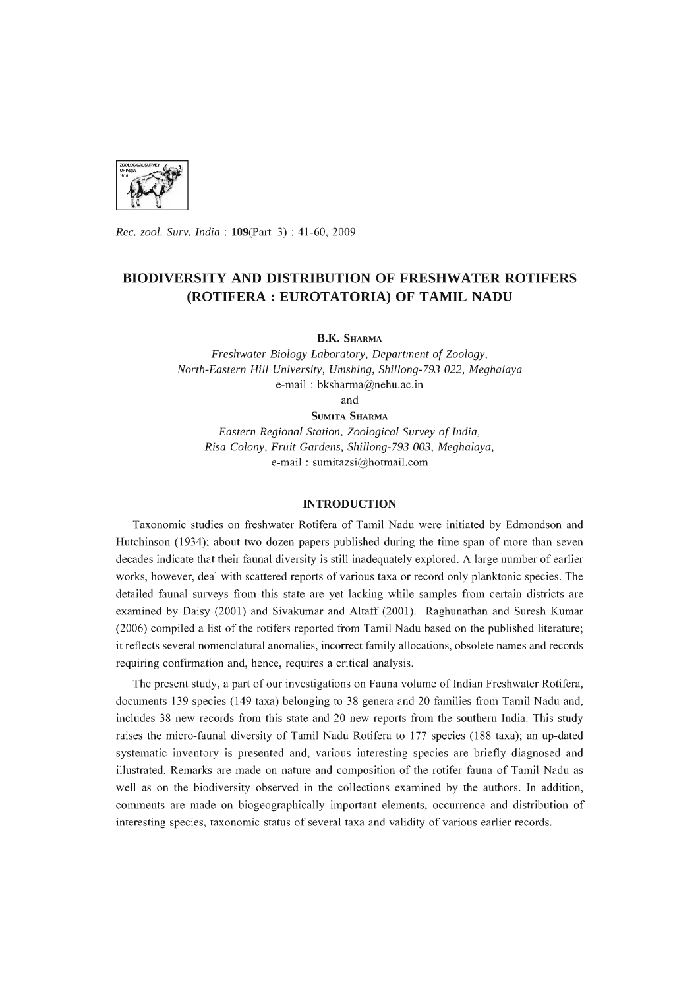

*Rec. zool. Surv. India:* l09(Part-3) : 41-60, 2009

# **BIODIVERSITY AND DISTRIBUTION OF FRESHWATER ROTIFERS (ROTIFERA: EUROTATORIA) OF TAMIL NADU**

**B.K.** SHARMA

*Freshwater Biology Laboratory, Department* of *Zoology, North-Eastern Hill University, Umshing, Shillong-793 022, Meghalaya*  e-mail: bksharma@nehu.ac.in and

SUMITA SHARMA

*Eastern Regional Station, Zoological Survey* of *India, Risa Colony, Fruit Gardens, Shillong-793 003, Meghalaya,*  e-mail: sumitazsi@hotmail.com

# **INTRODUCTION**

Taxonomic studies on freshwater Rotifera of Tamil Nadu were initiated by Edmondson and Hutchinson (1934); about two dozen papers published during the time span of more than seven decades indicate that their faunal diversity is still inadequately explored. A large number of earlier works, however, deal with scattered reports of various taxa or record only planktonic species. The detailed faunal surveys from this state are yet lacking while samples from certain districts are examined by Daisy (2001) and Sivakumar and Altaff (2001). Raghunathan and Suresh Kumar (2006) compiled a list of the rotifers reported from Tamil Nadu based on the published literature; it reflects several nomenclatural anomalies, incorrect family allocations, obsolete names and records requiring confirmation and, hence, requires a critical analysis.

The present study, a part of our investigations on Fauna volume of Indian Freshwater Rotifera, documents 139 species (149 taxa) belonging to 38 genera and 20 families from Tamil Nadu and, includes 38 new records from this state and 20 new reports from the southern India. This study raises the micro-faunal diversity of Tamil Nadu Rotifera to 177 species (188 taxa); an up-dated systematic inventory is presented and, various interesting species are briefly diagnosed and illustrated. Remarks are made on nature and composition of the rotifer fauna of Tamil Nadu as well as on the biodiversity observed in the collections examined by the authors. **In** addition, comments are made on biogeographically important elements, occurrence and distribution of interesting species, taxonomic status of several taxa and validity of various earlier records.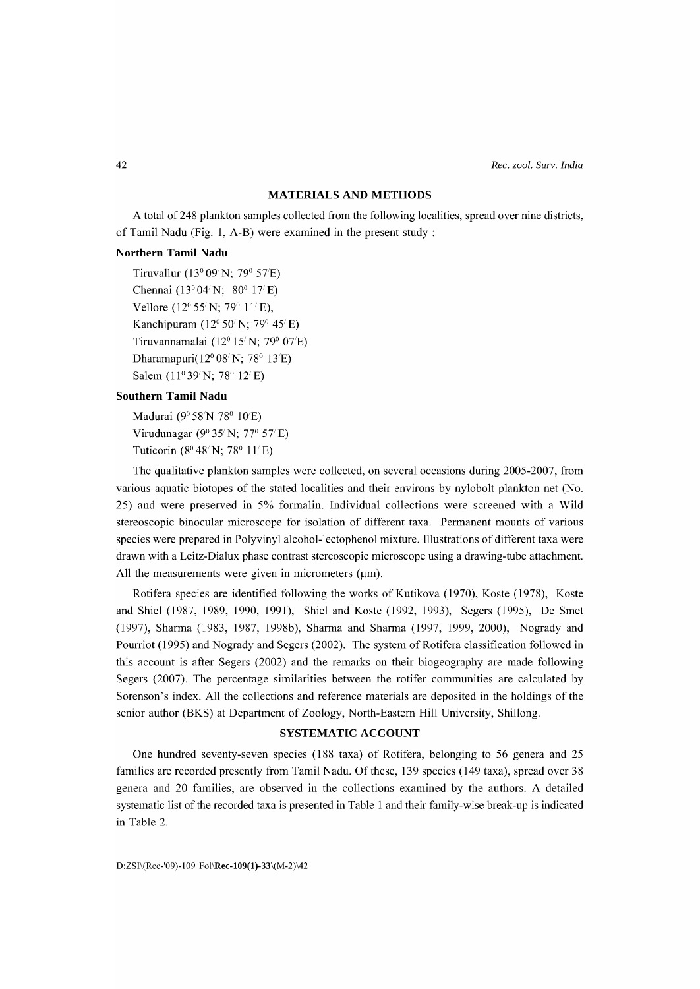## **MATERIALS AND METHODS**

A total of 248 plankton samples collected from the following localities, spread over nine districts, of Tamil Nadu (Fig. 1, A-B) were examined in the present study:

# **Northern Tamil Nadu**

Tiruvallur (l30 *09/ N;* 79° *57/ E)*  Chennai (l3°04/ N; 80° 17*<sup>1</sup>*E) Vellore (12° *55/ N;* 79° *<sup>11</sup> /E),*  Kanchipuram (12° 50/*N;* 79° 45/*E)*  Tiruvannamalai (12° 15/ N; 79° 07/ E) Dharamapuri(12° *08/ N;* 78° l3/ E) Salem (11<sup>°</sup> 39' N; 78<sup>°</sup> 12' E)

# **Southern Tamil Nadu**

Madurai (9° *58/ N* 78° *10/ E)*  Virudunagar (9° *35/N;* 77° *57/E)*  Tuticorin (8<sup>0</sup> 48<sup>*/N*</sup>; 78<sup>0</sup> 11<sup>*/E*</sup>)

The qualitative plankton samples were collected, on several occasions during 2005-2007, from various aquatic biotopes of the stated localities and their environs by nylobolt plankton net (No. 25) and were preserved in 5% formalin. Individual collections were screened with a Wild stereoscopic binocular microscope for isolation of different taxa. Permanent mounts of various species were prepared in Polyvinyl alcohol-Iectophenol mixture. Illustrations of different taxa were drawn with a Leitz-Dialux phase contrast stereoscopic microscope using a drawing-tube attachment. All the measurements were given in micrometers  $(\mu m)$ .

Rotifera species are identified following the works of Kutikova (1970), Koste (1978), Koste and Shiel (1987, 1989, 1990, 1991), Shiel and Koste (1992, 1993), Segers (1995), De Smet (1997), Sharma (1983, 1987, 1998b), Sharma and Sharma (1997, 1999, 2000), Nogrady and Pourriot (1995) and Nogrady and Segers (2002). The system of Rotifera classification followed in this account is after Segers (2002) and the remarks on their biogeography are made following Segers (2007). The percentage similarities between the rotifer communities are calculated by Sorenson's index. All the collections and reference materials are deposited in the holdings of the senior author (BKS) at Department of Zoology, North-Eastern Hill University, Shillong.

### **SYSTEMATIC ACCOUNT**

One hundred seventy-seven species (188 taxa) of Rotifera, belonging to 56 genera and 25 families are recorded presently from Tamil Nadu. Of these, 139 species (149 taxa), spread over 38 genera and 20 families, are observed in the collections examined by the authors. A detailed systematic list of the recorded taxa is presented in Table 1 and their family-wise break-up is indicated in Table 2.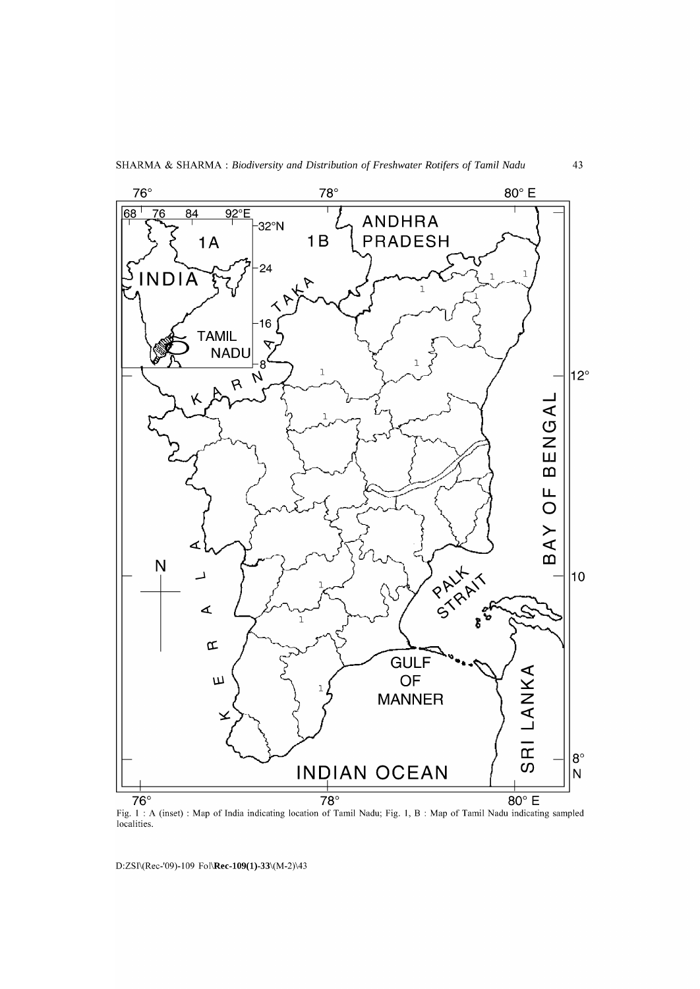

Fig. 1 : A (inset) : Map of India indicating location of Tamil Nadu; Fig. 1, B : Map of Tamil Nadu indicating sampled localities.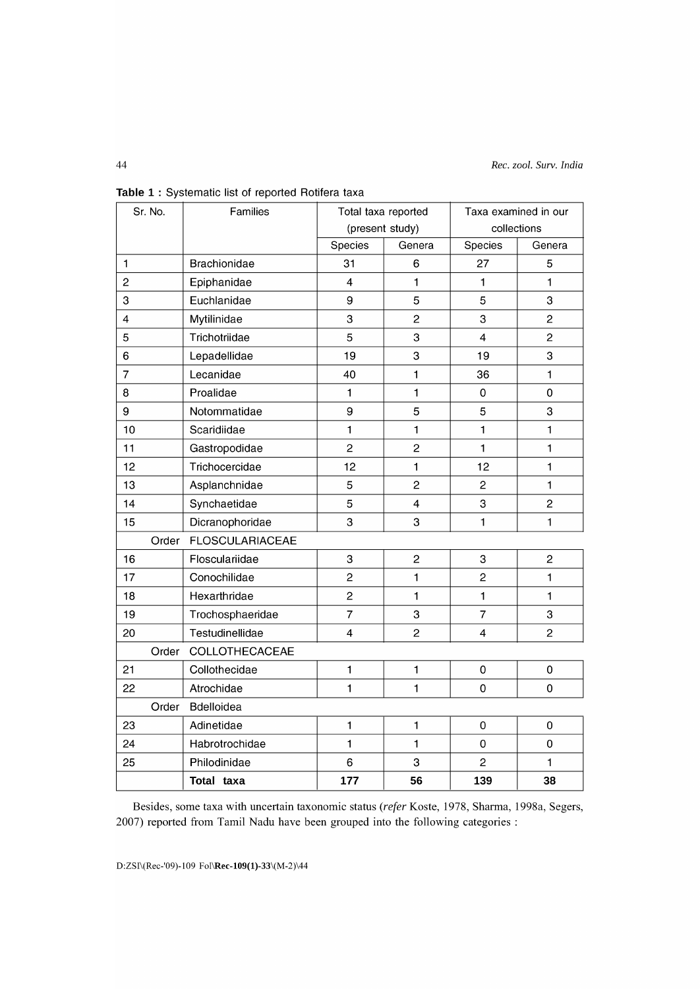| Sr. No.                 | Families               | Total taxa reported       |                         | Taxa examined in our    |                |  |  |  |
|-------------------------|------------------------|---------------------------|-------------------------|-------------------------|----------------|--|--|--|
|                         |                        | (present study)           |                         | collections             |                |  |  |  |
|                         |                        | Species                   | Genera                  | Species                 | Genera         |  |  |  |
| $\mathbf{1}$            | <b>Brachionidae</b>    | 31                        | $6\phantom{1}$          | 27                      | 5              |  |  |  |
| $\overline{2}$          | Epiphanidae            | $\overline{4}$            | $\mathbf{1}$            | $\mathbf{1}$            | $\mathbf{1}$   |  |  |  |
| 3                       | Euchlanidae            | 9                         | 5                       | 5                       | 3              |  |  |  |
| $\overline{\mathbf{4}}$ | Mytilinidae            | 3                         | $\overline{c}$          | 3                       | $\overline{2}$ |  |  |  |
| 5                       | Trichotriidae          | 5                         | 3                       | $\overline{\mathbf{4}}$ | $\overline{c}$ |  |  |  |
| 6                       | Lepadellidae           | 19                        | 3                       | 19                      | 3              |  |  |  |
| $\overline{7}$          | Lecanidae              | 40                        | $\mathbf{1}$            | 36                      | $\mathbf{1}$   |  |  |  |
| 8                       | Proalidae              | $\blacksquare$            | $\mathbf{1}$            | $\mathbf 0$             | $\mathbf 0$    |  |  |  |
| 9                       | Notommatidae           | 9                         | 5                       | 5                       | 3              |  |  |  |
| 10                      | Scaridiidae            | $\mathbf{1}$              | $\mathbf{1}$            | $\mathbf{1}$            | $\mathbf{1}$   |  |  |  |
| 11                      | Gastropodidae          | $\overline{c}$            | $\overline{c}$          | $\mathbf{1}$            | $\mathbf{1}$   |  |  |  |
| 12                      | Trichocercidae         | 12                        | $\mathbf{1}$            | 12                      | $\mathbf{1}$   |  |  |  |
| 13                      | Asplanchnidae          | $\overline{5}$            | $\overline{2}$          | $\overline{c}$          | $\mathbf{1}$   |  |  |  |
| 14                      | Synchaetidae           | 5                         | $\overline{\mathbf{4}}$ | 3                       | $\overline{c}$ |  |  |  |
| 15                      | Dicranophoridae        | 3                         | 3                       | $\mathbf{1}$            | $\mathbf{1}$   |  |  |  |
| Order                   | <b>FLOSCULARIACEAE</b> |                           |                         |                         |                |  |  |  |
| 16                      | Flosculariidae         | $\ensuremath{\mathsf{3}}$ | $\overline{c}$          | 3                       | $\overline{c}$ |  |  |  |
| 17                      | Conochilidae           | $\overline{c}$            | $\mathbf{1}$            | $\overline{c}$          | $\mathbf{1}$   |  |  |  |
| 18                      | Hexarthridae           | $\overline{c}$            | $\mathbf{1}$            | $\mathbf{1}$            | $\mathbf{1}$   |  |  |  |
| 19                      | Trochosphaeridae       | $\overline{7}$            | 3                       | $\overline{7}$          | 3              |  |  |  |
| 20                      | Testudinellidae        | $\overline{4}$            | $\overline{c}$          | $\overline{4}$          | $\overline{c}$ |  |  |  |
| Order                   | COLLOTHECACEAE         |                           |                         |                         |                |  |  |  |
| 21                      | Collothecidae          | $\mathbf{1}$              | $\blacksquare$          | $\pmb{0}$               | $\pmb{0}$      |  |  |  |
| 22                      | Atrochidae             | $\mathbf{1}$              | $\mathbf{1}$            | $\mathbf 0$             | $\mathbf 0$    |  |  |  |
|                         | Bdelloidea<br>Order    |                           |                         |                         |                |  |  |  |
| 23                      | Adinetidae             | 1                         | $\blacksquare$          | $\mathbf 0$             | $\mathbf 0$    |  |  |  |
| 24                      | Habrotrochidae         | $\mathbf{1}$              | $\mathbf{1}$            | $\mathbf 0$             | $\mathbf 0$    |  |  |  |
| 25                      | Philodinidae           | $\,6\,$                   | 3                       | $\overline{2}$          | 1              |  |  |  |
|                         | Total taxa             | 177                       | 56                      | 139                     | 38             |  |  |  |

Table 1 : Systematic list of reported Rotifera taxa

Besides, some taxa with uncertain taxonomic status *(refer* Koste, 1978, Sharma, 1998a, Segers, 2007) reported from Tamil Nadu have been grouped into the following categories: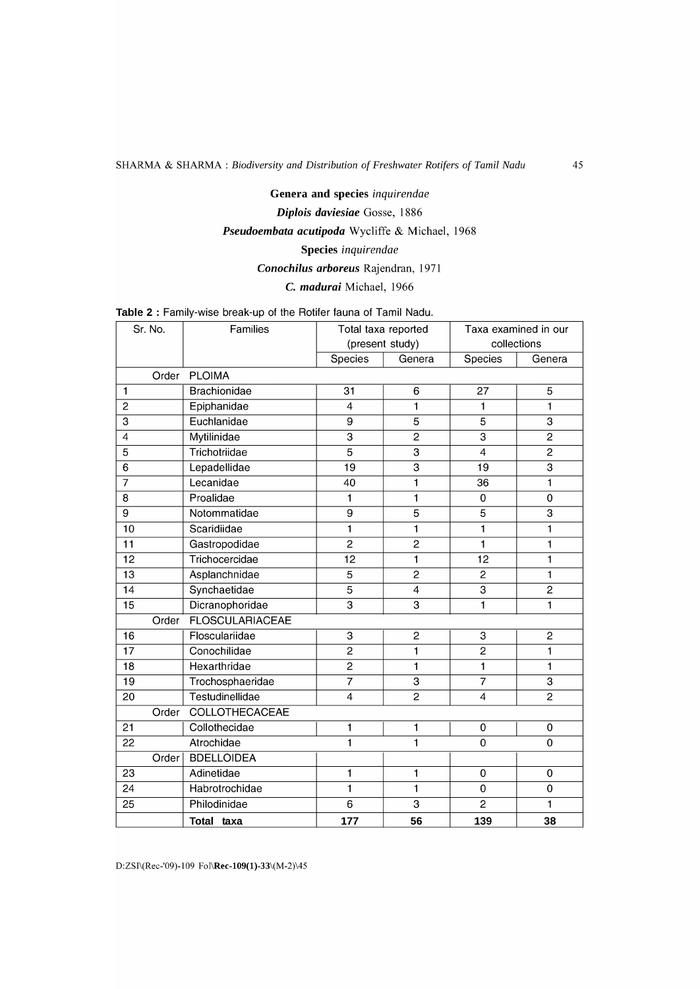# Genera and species *inquirendae Diplois daviesiae* Gosse, 1886 *Pseudoembata acutipoda* Wycliffe & Michael, 1968 Species *inquirendae Conochilus arboreus* Rajendran, 1971 C. *madurai* Michael, 1966

Table 2 : Family-wise break-up of the Rotifer fauna of Tamil Nadu.

| Sr. No.         |                                 | Families            | Total taxa reported<br>(present study) |                         | Taxa examined in our<br>collections |                |  |  |
|-----------------|---------------------------------|---------------------|----------------------------------------|-------------------------|-------------------------------------|----------------|--|--|
|                 |                                 |                     | <b>Species</b>                         | Genera                  | <b>Species</b>                      | Genera         |  |  |
|                 |                                 | Order PLOIMA        |                                        |                         |                                     |                |  |  |
| $\mathbf{1}$    |                                 | <b>Brachionidae</b> | 31                                     | 6                       | 27                                  | 5              |  |  |
| $\overline{2}$  |                                 | Epiphanidae         | $\overline{4}$                         | 1                       | $\blacksquare$                      | $\mathbf{1}$   |  |  |
| 3               |                                 | Euchlanidae         | 9                                      | 5                       | 5                                   | $\overline{3}$ |  |  |
| $\overline{4}$  |                                 | Mytilinidae         | $\overline{3}$                         | $\overline{2}$          | 3                                   | $\overline{2}$ |  |  |
| 5               |                                 | Trichotriidae       | 5                                      | 3                       | 4                                   | $\overline{2}$ |  |  |
| 6               |                                 | Lepadellidae        | $\overline{19}$                        | $\overline{\mathbf{3}}$ | 19                                  | $\overline{3}$ |  |  |
| 7               |                                 | Lecanidae           | 40                                     | $\blacksquare$          | 36                                  | $\mathbf{1}$   |  |  |
| 8               |                                 | Proalidae           | 1                                      | 1                       | $\mathbf 0$                         | $\Omega$       |  |  |
| 9               |                                 | Notommatidae        | 9                                      | 5                       | 5                                   | 3              |  |  |
| 10              |                                 | Scaridiidae         | $\overline{1}$                         | 1                       | $\mathbf{1}$                        | 1              |  |  |
| 11              |                                 | Gastropodidae       | $\overline{2}$                         | $\overline{c}$          | 1                                   | 1              |  |  |
| 12              |                                 | Trichocercidae      | 12                                     | $\overline{1}$          | 12                                  | 1              |  |  |
| $\overline{13}$ |                                 | Asplanchnidae       | $\overline{5}$                         | $\overline{2}$          | $\mathfrak{p}$                      | $\mathbf{1}$   |  |  |
| 14              |                                 | Synchaetidae        | $\overline{5}$                         | $\overline{4}$          | $\overline{3}$                      | $\overline{2}$ |  |  |
| 15              |                                 | Dicranophoridae     | 3                                      | 3                       | 1                                   | $\overline{1}$ |  |  |
|                 | <b>FLOSCULARIACEAE</b><br>Order |                     |                                        |                         |                                     |                |  |  |
| 16              |                                 | Flosculariidae      | 3                                      | $\overline{2}$          | 3                                   | $\overline{2}$ |  |  |
| 17              |                                 | Conochilidae        | $\overline{2}$                         | 1                       | $\overline{2}$                      | 1              |  |  |
| 18              |                                 | Hexarthridae        | $\overline{2}$                         | 1                       | 1                                   | 1              |  |  |
| 19              |                                 | Trochosphaeridae    | $\overline{7}$                         | $\overline{\mathbf{3}}$ | 7                                   | $\overline{3}$ |  |  |
| 20              |                                 | Testudinellidae     | $\overline{\mathcal{L}}$               | $\overline{2}$          | $\overline{4}$                      | $\overline{2}$ |  |  |
|                 | Order                           | COLLOTHECACEAE      |                                        |                         |                                     |                |  |  |
| 21              |                                 | Collothecidae       | 1                                      | 1                       | $\mathbf 0$                         | 0              |  |  |
| 22              |                                 | Atrochidae          | $\mathbf{1}$                           | 1                       | $\mathbf 0$                         | $\Omega$       |  |  |
|                 | Order                           | <b>BDELLOIDEA</b>   |                                        |                         |                                     |                |  |  |
| 23              |                                 | Adinetidae          | $\mathbf{1}$                           | 1                       | $\mathbf 0$                         | 0              |  |  |
| 24              |                                 | Habrotrochidae      | $\blacksquare$                         | 1                       | 0                                   | $\Omega$       |  |  |
| 25              |                                 | Philodinidae        | 6                                      | 3                       | $\overline{2}$                      | 1              |  |  |
|                 |                                 | Total taxa          | 177                                    | 56                      | 139                                 | 38             |  |  |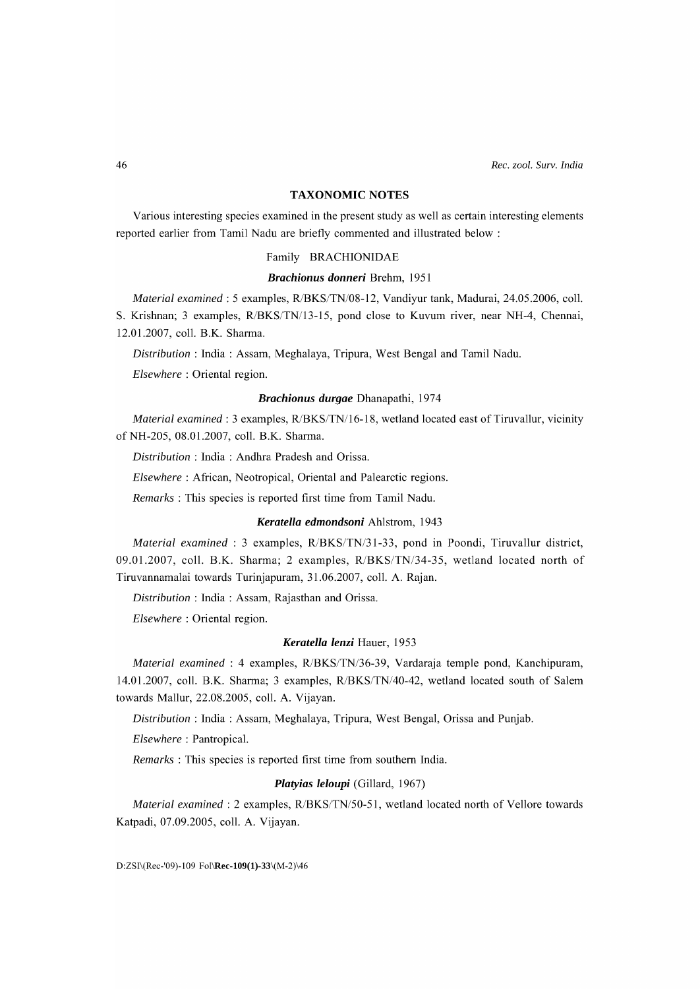#### **TAXONOMIC NOTES**

Various interesting species examined in the present study as well as certain interesting elements reported earlier from Tamil Nadu are briefly commented and illustrated below:

#### Family BRACHIONIDAE

## *Brachionus donneri* Brehm, 1951

*Material examined:* 5 examples, *RlBKS/TN/08-12,* Vandiyur tank, Madurai, 24.05.2006, colI. S. Krishnan; 3 examples, *RlBKS/TN/13-15,* pond close to Kuvum river, near NH-4, Chennai, l2.0l.2007, colI. B.K. Sharma.

*Distribution:* India: Assam, Meghalaya, Tripura, West Bengal and Tamil Nadu.

*Elsewhere:* Oriental region.

# *Brachionus durgae* Dhanapathi, 1974

*Material examined:* 3 examples, *RlBKS/TN/16-18,* wetland located east of Tiruvallur, vicinity ofNH-205, 08.0l.2007, colI. B.K. Sharma.

*Distribution* : India : Andhra Pradesh and Orissa.

*Elsewhere:* African, Neotropical, Oriental and Palearctic regions.

*Remarks:* This species is reported first time from Tamil Nadu.

## *Keratella edmondsoni* Ahlstrom, 1943

*Material examined:* 3 examples, *R/BKS/TN/31-33,* pond in Poondi, Tiruvallur district, 09.0l.2007, colI. B.K. Sharma; 2 examples, *R/BKS/TN/34-35,* wetland located north of Tiruvannamalai towards Turinjapuram, 31.06.2007, coll. A. Rajan.

*Distribution:* India: Assam, Rajasthan and Orissa.

*Elsewhere:* Oriental region.

## *Keratella lenzi* Hauer, 1953

*Material examined:* 4 examples, *RlBKS/TN/36-39,* Vardaraja temple pond, Kanchipuram, l4.0l.2007, colI. B.K. Sharma; 3 examples, *RlBKS/TN/40-42*, wetland located south of Salem towards Mallur, 22.08.2005, colI. A. Vijayan.

*Distribution* : India: Assam, Meghalaya, Tripura, West Bengal, Orissa and Punjab.

*Elsewhere:* Pantropical.

*Remarks* : This species is reported first time from southern India.

### *Platyias leloupi* (Gillard, 1967)

*Material examined:* 2 examples, *RlBKS/TN/50-51,* wetland located north of Vellore towards Katpadi, 07.09.2005, colI. A. Vijayan.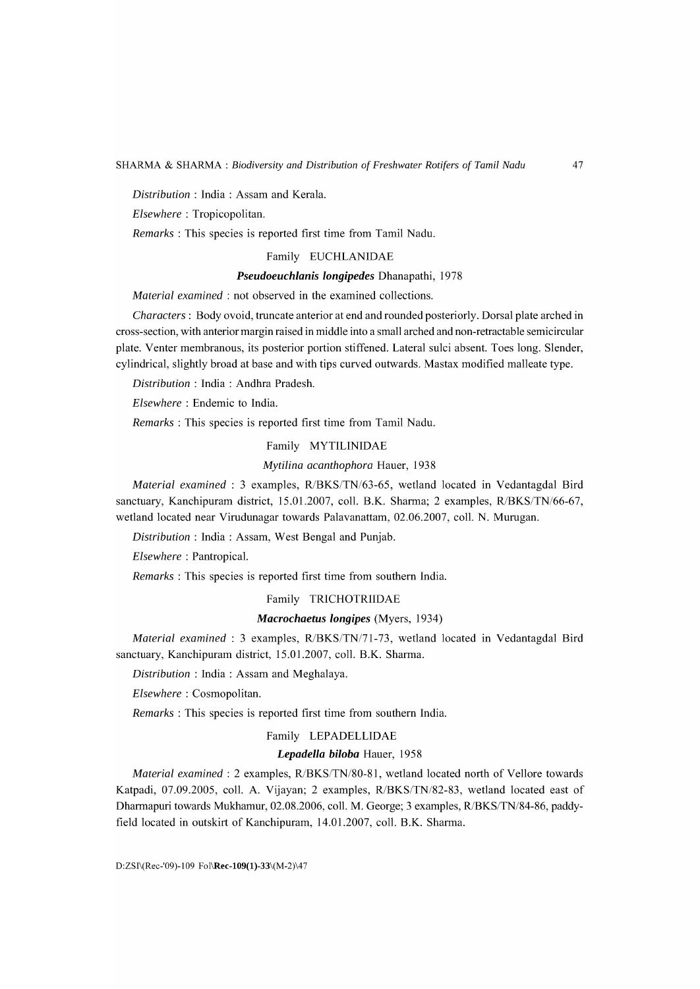*Distribution* : India : Assam and Kerala.

*Elsewhere:* Tropicopolitan.

*Remarks:* This species is reported first time from Tamil Nadu.

#### Family EUCHLANIDAE

# *Pseudoeuchlanis longipedes* Dhanapathi, 1978

*Material examined:* not observed in the examined collections.

*Characters:* Body ovoid, truncate anterior at end and rounded posteriorly. Dorsal plate arched in cross-section, with anterior margin raised in middle into a small arched and non-retractable semicircular plate. Venter membranous, its posterior portion stiffened. Lateral sulci absent. Toes long. Slender, cylindrical, slightly broad at base and with tips curved outwards. Mastax modified malleate type.

*Distribution* : India : Andhra Pradesh.

*Elsewhere* : Endemic to India.

*Remarks:* This species is reported first time from Tamil Nadu.

#### Family MYTILINIDAE

#### *Mytilina acanthophora* Hauer, 1938

*Material examined:* 3 examples, *RlBKS/TN/63-65* , wetland located in Vedantagdal Bird sanctuary, Kanchipuram district, l5.0l.2007, colI. B.K. Sharma; 2 examples, *RlBKS/TN/66-67,*  wetland located near Virudunagar towards Palavanattam, 02.06.2007, colI. N. Murugan.

*Distribution* : India: Assam, West Bengal and Punjab.

*Elsewhere:* Pantropical.

*Remarks* : This species is reported first time from southern India.

#### Family TRICHOTRIIDAE

# *Macrochaetus longipes* (Myers, 1934)

*Material examined* : 3 examples, *RlBKS/TN171-73,* wetland located in Vedantagdal Bird sanctuary, Kanchipuram district, 15.01.2007, coll. B.K. Sharma.

*Distribution* : India : Assam and Meghalaya.

*Elsewhere:* Cosmopolitan.

*Remarks* : This species is reported first time from southern India.

# Family LEPADELLIDAE

# *Lepadella biloba* Hauer, 1958

*Material examined:* 2 examples, *RlBKS/TN/80-81,* wetland located north of Vellore towards Katpadi, 07.09.2005, colI. A. Vijayan; 2 examples, *R/BKS/TN/82-83*, wetland located east of Dharmapuri towards Mukhamur, 02.08.2006, colI. M. George; 3 examples, *RlBKS/TN/84-86,* paddyfield located in outskirt of Kanchipuram, 14.01.2007, coll. B.K. Sharma.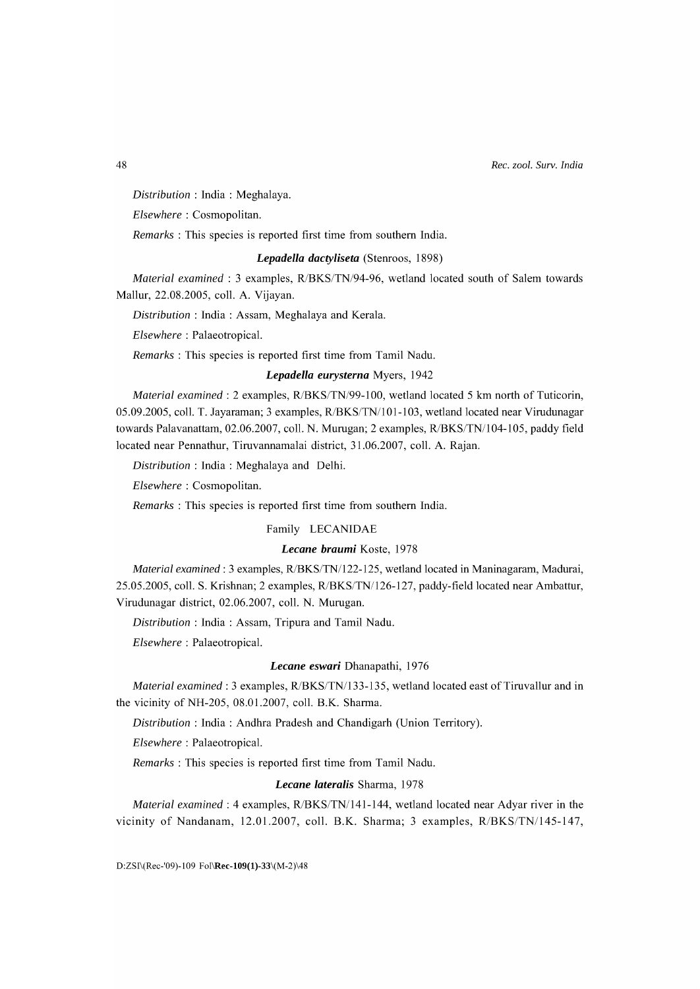*Distribution* : India : Meghalaya.

*Elsewhere:* Cosmopolitan.

*Remarks* : This species is reported first time from southern India.

# *Lepadella dactyliseta* (Stenroos, 1898)

*Material examined* : 3 examples, *RlBKS/TN/94-96,* wetland located south of Salem towards Mallur, 22.08.2005, colI. A. Vijayan.

*Distribution* : India : Assam, Meghalaya and Kerala.

*Elsewhere:* Palaeotropical.

*Remarks:* This species is reported first time from Tamil Nadu.

# *Lepadella eurysterna* Myers, 1942

*Material examined: 2 examples, R/BKS/TN/99-100, wetland located 5 km north of Tuticorin,* 05.09.2005, coll. T. Jayaraman; 3 examples, R/BKS/TN/101-103, wetland located near Virudunagar towards Palavanattam, 02.06.2007, colI. N. Murugan; 2 examples, *RlBKS/TNIl04-105,* paddy field located near Pennathur, Tiruvannamalai district, 31.06.2007, colI. A. Rajan.

*Distribution* : India : Meghalaya and Delhi.

*Elsewhere:* Cosmopolitan.

*Remarks* : This species is reported first time from southern India.

# Family LECANIDAE

#### *Lecane braumi* Koste, 1978

*Material examined:* 3 examples, *RlBKS/TNIl22-125,* wetland located in Maninagaram, Madurai, 25.05.2005, colI. S. Krishnan; 2 examples, *RlBKS/TNIl26-127,* paddy-field located near Ambattur, Virudunagar district, 02.06.2007, colI. N. Murugan.

*Distribution:* India: Assam, Tripura and Tamil Nadu.

*Elsewhere:* Palaeotropical.

# *Lecane eswari* Dhanapathi, 1976

*Material examined:* 3 examples, *RlBKS/TNIl33-135,* wetland located east of Tiruvallur and in the vicinity of NH-205, 08.0l.2007, colI. B.K. Sharma.

*Distribution:* India: Andhra Pradesh and Chandigarh (Union Territory).

*Elsewhere:* Palaeotropical.

*Remarks:* This species is reported first time from Tamil Nadu.

# *Lecane lateralis* Sharma, 1978

*Material examined: 4 examples, R/BKS/TN/141-144, wetland located near Adyar river in the* vicinity of Nandanam, l2.0l.2007, colI. B.K. Sharma; 3 examples, *R/BKS/TNI145-l47,* 

D:ZSI\(Rec-'09)-109 Fol\Rec-109(1)-33\(M-2)\48

48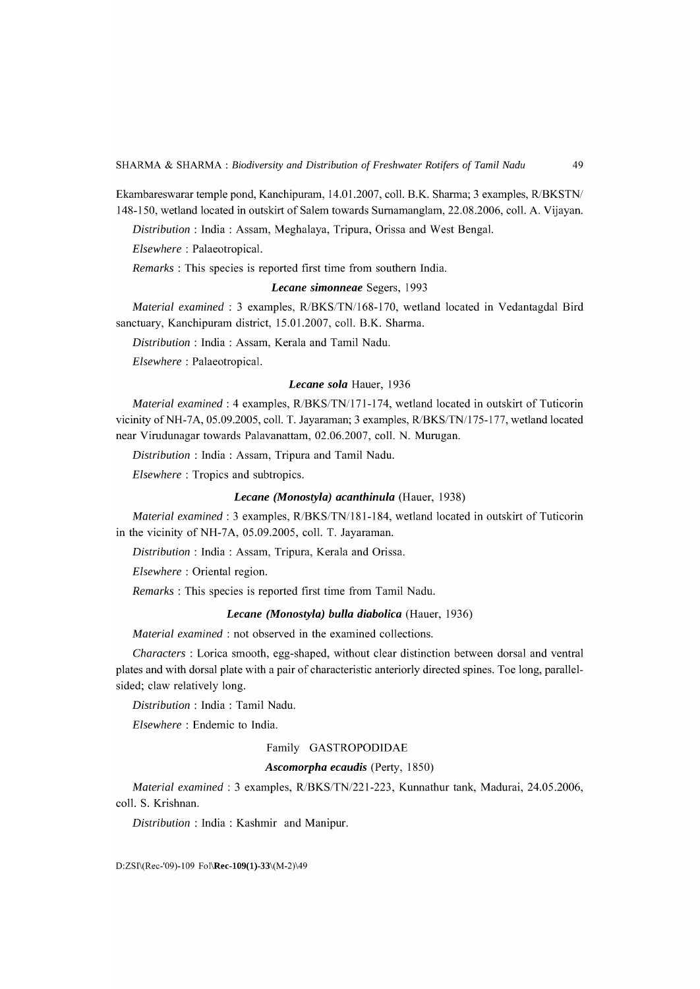Ekambareswarar temple pond, Kanchipuram, l4.0l.2007, colI. B.K. Sharma; 3 examples, *RlBKSTNI*  148-150, wetland located in outskirt of Salem towards Surnamanglam, 22.08.2006, colI. A. Vijayan.

*Distribution* : India : Assam, Meghalaya, Tripura, Orissa and West Bengal.

*Elsewhere:* Palaeotropical.

*Remarks* : This species is reported first time from southern India.

# *Lecane simonneae* Segers, 1993

*Material examined* : 3 examples, *RlBKS/TNI168-170,* wetland located in Vedantagdal Bird sanctuary, Kanchipuram district, 15.01.2007, coll. B.K. Sharma.

*Distribution:* India: Assam, Kerala and Tamil Nadu.

*Elsewhere:* Palaeotropical.

#### *Lecane sola* Hauer, 1936

*Material examined: 4 examples, R/BKS/TN/171-174, wetland located in outskirt of Tuticorin* vicinity ofNH-7A, 05.09.2005, colI. T. Jayaraman; 3 examples, *RlBKS/TNI175-177,* wetland located near Virudunagar towards Palavanattam, 02.06.2007, colI. N. Murugan.

*Distribution:* India: Assam, Tripura and Tamil Nadu.

*Elsewhere:* Tropics and subtropics.

#### *Lecane (Monostyla) acanthinula* (Hauer, 1938)

*Material examined: 3 examples, R/BKS/TN/181-184, wetland located in outskirt of Tuticorin* in the vicinity of NH-7A, 05.09.2005, coll. T. Jayaraman.

*Distribution* : India : Assam, Tripura, Kerala and Orissa.

*Elsewhere:* Oriental region.

*Remarks:* This species is reported first time from Tamil Nadu.

## *Lecane (Monostyla) bulla diabolica* (Hauer, 1936)

*Material examined:* not observed in the examined collections.

*Characters* : Lorica smooth, egg-shaped, without clear distinction between dorsal and ventral plates and with dorsal plate with a pair of characteristic anteriorly directed spines. Toe long, parallelsided; claw relatively long.

*Distribution:* India: Tamil Nadu.

*Elsewhere* : Endemic to India.

#### Family GASTROPODIDAE

# *Ascomorpha ecaudis* (Perty, 1850)

*Material examined:* 3 examples, *RlBKS/TN1221-223,* Kunnathur tank, Madurai, 24.05.2006, colI. S. Krishnan.

*Distribution* : India : Kashmir and Manipur.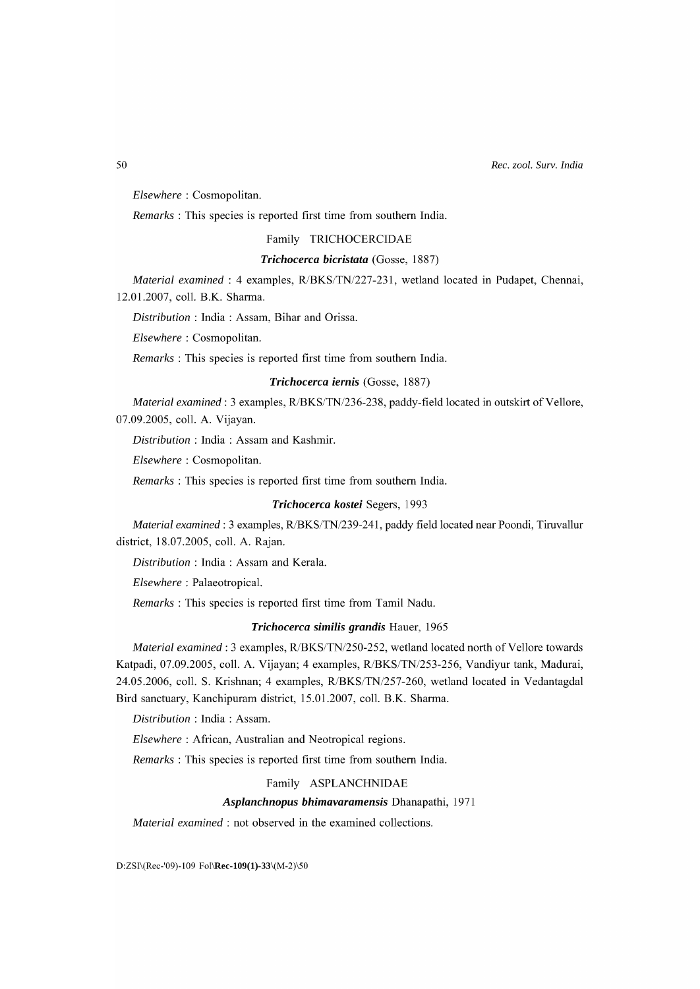*Elsewhere:* Cosmopolitan.

*Remarks* : This species is reported first time from southern India.

# Family TRICHOCERCIDAE

# *Trichocerca bicristata* (Gosse, 1887)

*Material examined:* 4 examples, *RlBKS/TN1227-231,* wetland located in Pudapet, Chennai, 12.01.2007, colI. B.K. Sharma.

*Distribution* : India : Assam, Bihar and Orissa.

*Elsewhere:* Cosmopolitan.

*Remarks* : This species is reported first time from southern India.

#### *Trichocerca iernis* (Gosse, 1887)

*Material examined: 3 examples, R/BKS/TN/236-238, paddy-field located in outskirt of Vellore,* 07.09.2005, colI. A. Vijayan.

*Distribution* : India : Assam and Kashmir.

*Elsewhere:* Cosmopolitan.

*Remarks* : This species is reported first time from southern India.

#### *Trichocerca kostei* Segers, 1993

*Material examined:* 3 examples, *RlBKS/TN/239-241* , paddy field located near Poondi, Tiruvallur district, 18.07.2005, colI. A. Rajan.

*Distribution* : India : Assam and Kerala.

*Elsewhere:* Palaeotropical.

*Remarks:* This species is reported first time from Tamil Nadu.

# *Trichocerca similis grandis* Hauer, 1965

*Material examined: 3 examples,*  $R/BKS/TN/250-252$ *, wetland located north of Vellore towards* Katpadi, 07.09.2005, colI. A. Vijayan; 4 examples, *R/BKS/TN/253-256,* Vandiyur tank, Madurai, 24.05.2006, colI. S. Krishnan; 4 examples, *R/BKS/TN/257-260,* wetland located in Vedantagdal Bird sanctuary, Kanchipuram district, 15.01.2007, colI. B.K. Sharma.

*Distribution* : India : Assam.

*Elsewhere:* African, Australian and Neotropical regions.

*Remarks* : This species is reported first time from southern India.

Family ASPLANCHNIDAE

#### *Asplanchnopus bhimavaramensis* Dhanapathi, 1971

*Material examined:* not observed in the examined collections.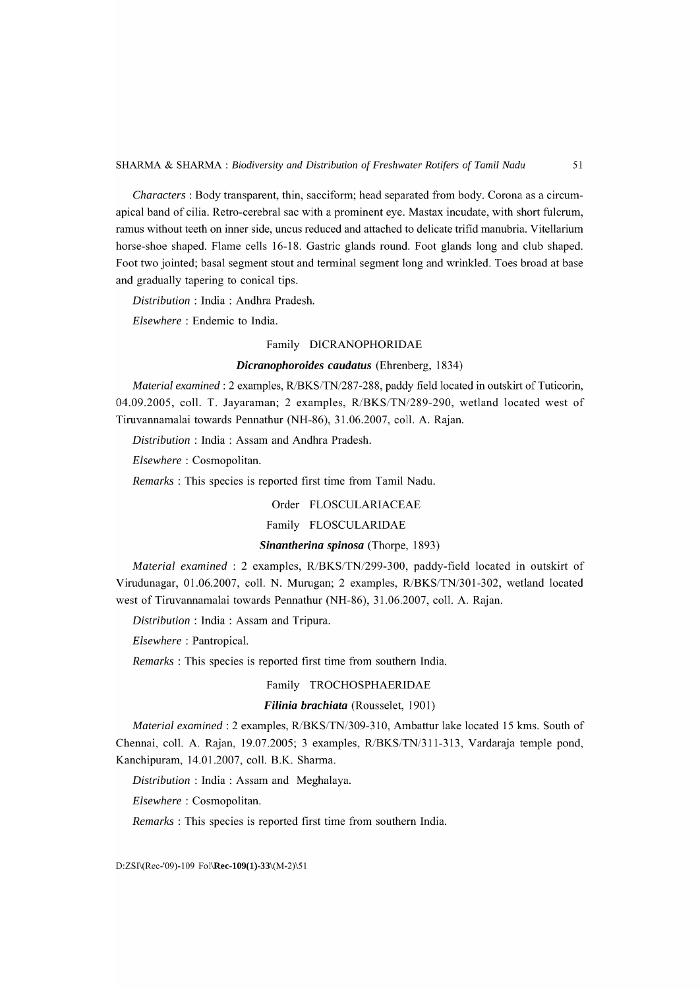*Characters:* Body transparent, thin, sacciform; head separated from body. Corona as a circumapical band of cilia. Retro-cerebral sac with a prominent eye. Mastax incudate, with short fulcrum, ramus without teeth on inner side, uncus reduced and attached to delicate trifid manubria. Vitellarium horse-shoe shaped. Flame cells 16-18. Gastric glands round. Foot glands long and club shaped. Foot two jointed; basal segment stout and terminal segment long and wrinkled. Toes broad at base and gradually tapering to conical tips.

*Distribution* : India : Andhra Pradesh.

*Elsewhere:* Endemic to India.

# Family DICRANOPHORIDAE

# *Dicranophoroides caudatus* (Ehrenberg, 1834)

*Material examined:* 2 examples, *RlBKS/TN/287-288,* paddy field located in outskirt of Tuticorin, 04.09.2005, colI. T. Jayaraman; 2 examples, *R/BKS/TN/289-290,* wetland located west of Tiruvannamalai towards Pennathur (NH-86), 31.06.2007, coll. A. Rajan.

*Distribution* : India : Assam and Andhra Pradesh.

*Elsewhere:* Cosmopolitan.

*Remarks:* This species is reported first time from Tamil Nadu.

Order FLOSCULARIACEAE

Family FLOSCULARIDAE

# *Sinantherina spinosa* (Thorpe, 1893)

*Material examined* : 2 examples, *R/BKS/TN/299-300,* paddy-field located in outskirt of Virudunagar, 0l.06.2007, colI. N. Murugan; 2 examples, *RlBKS/TN/301-302,* wetland located west of Tiruvannamalai towards Pennathur (NH-86), 31.06.2007, coll. A. Rajan.

*Distribution* : India : Assam and Tripura.

*Elsewhere:* Pantropical.

*Remarks* : This species is reported first time from southern India.

# Family TROCHOSPHAERIDAE

#### *Filinia brachiata* (Rousselet, 1901)

*Material examined:* 2 examples, *RlBKS/TN/309-31* 0, Ambattur lake located 15 kms. South of Chennai, coll. A. Rajan, 19.07.2005; 3 examples, *R/BKS/TN/311-313*, Vardaraja temple pond, Kanchipuram, l4.0l.2007, colI. B.K. Sharma.

*Distribution* : India : Assam and Meghalaya.

*Elsewhere:* Cosmopolitan.

*Remarks* : This species is reported first time from southern India.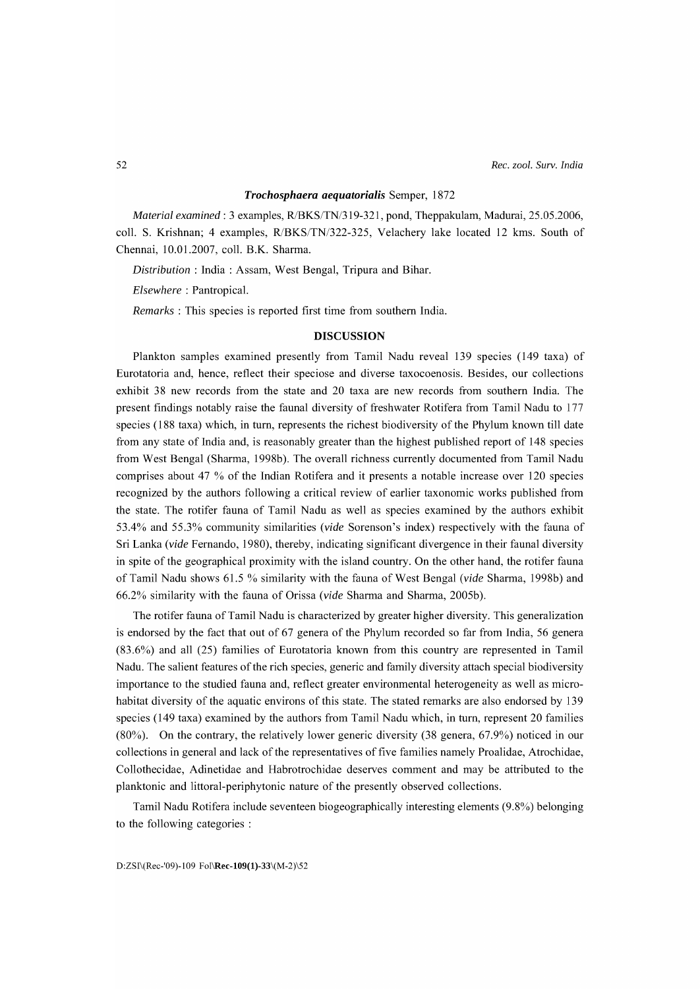#### *Trochosphaera aequatorialis* Semper, 1872

*Material examined:* 3 examples, RlBKS/TN/319-321, pond, Theppakulam, Madurai, 25.05.2006, coll. S. Krishnan; 4 examples, R/BKS/TN/322-325, Velachery lake located 12 kms. South of Chennai, 10.01.2007, colI. B.K. Sharma.

*Distribution* : India : Assam, West Bengal, Tripura and Bihar.

*Elsewhere* : Pantropical.

*Remarks* : This species is reported first time from southern India.

# **DISCUSSION**

Plankton samples examined presently from Tamil Nadu reveal 139 species (149 taxa) of Eurotatoria and, hence, reflect their speciose and diverse taxocoenosis. Besides, our collections exhibit 38 new records from the state and 20 taxa are new records from southern India. The present findings notably raise the faunal diversity of freshwater Rotifera from Tamil Nadu to 177 species (188 taxa) which, in tum, represents the richest biodiversity of the Phylum known till date from any state of India and, is reasonably greater than the highest published report of 148 species from West Bengal (Sharma, 1998b). The overall richness currently documented from Tamil Nadu comprises about 47 % of the Indian Rotifera and it presents a notable increase over 120 species recognized by the authors following a critical review of earlier taxonomic works published from the state. The rotifer fauna of Tamil Nadu as well as species examined by the authors exhibit 53.4% and 55.3% community similarities *(vide* Sorenson's index) respectively with the fauna of Sri Lanka *(vide* Fernando, 1980), thereby, indicating significant divergence in their faunal diversity in spite of the geographical proximity with the island country. On the other hand, the rotifer fauna of Tamil Nadu shows 61.5 % similarity with the fauna of West Bengal *(vide* Sharma, 1998b) and 66.2% similarity with the fauna of Orissa *(vide* Sharma and Sharma, 2005b).

The rotifer fauna of Tamil Nadu is characterized by greater higher diversity. This generalization is endorsed by the fact that out of 67 genera of the Phylum recorded so far from India, 56 genera (83.6%) and all (25) families of Eurotatoria known from this country are represented in Tamil Nadu. The salient features of the rich species, generic and family diversity attach special biodiversity importance to the studied fauna and, reflect greater environmental heterogeneity as well as microhabitat diversity of the aquatic environs of this state. The stated remarks are also endorsed by 139 species (149 taxa) examined by the authors from Tamil Nadu which, in turn, represent 20 families (80%). On the contrary, the relatively lower generic diversity (38 genera, 67.9%) noticed in our collections in general and lack of the representatives of five families namely Proalidae, Atrochidae, Collothecidae, Adinetidae and Habrotrochidae deserves comment and may be attributed to the planktonic and littoral-periphytonic nature of the presently observed collections.

Tamil Nadu Rotifera include seventeen biogeographically interesting elements (9.8%) belonging to the following categories :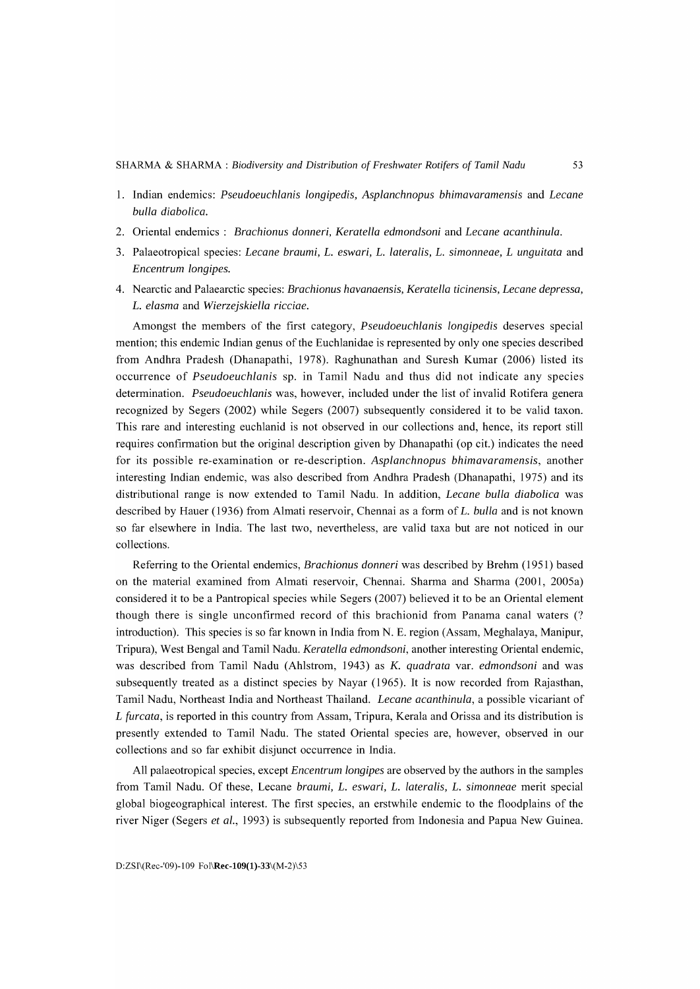- 1. Indian endemics: *Pseudoeuchlanis longipedis, Asplanchnopus bhimavaramensis* and *Lecane bulla diabolica.*
- 2. Oriental endemics: *Brachionus donneri, Keratella edmondsoni* and *Lecane acanthinula.*
- 3. Palaeotropical species: *Lecane braumi, L. eswari, L. latera lis, L. simonneae, L unguitata* and *Encentrum longipes.*
- 4. Nearctic and Palaearctic species: *Brachionus havanaensis, Keratella ticinensis, Lecane depressa, L. elasma* and *Wierzejskiella ricciae.*

Amongst the members of the first category, *Pseudoeuchlanis longipedis* deserves special mention; this endemic Indian genus of the Euchlanidae is represented by only one species described from Andhra Pradesh (Dhanapathi, 1978). Raghunathan and Suresh Kumar (2006) listed its occurrence of *Pseudoeuchlanis* sp. in Tamil Nadu and thus did not indicate any species determination. *Pseudoeuchlanis* was, however, included under the list of invalid Rotifera genera recognized by Segers (2002) while Segers (2007) subsequently considered it to be valid taxon. This rare and interesting euchlanid is not observed in our collections and, hence, its report still requires confirmation but the original description given by Dhanapathi (op cit.) indicates the need for its possible re-examination or re-description. *Asplanchnopus bhimavaramensis,* another interesting Indian endemic, was also described from Andhra Pradesh (Dhanapathi, 1975) and its distributional range is now extended to Tamil Nadu. **In** addition, *Lecane bulla diabolica* was described by Hauer (1936) from Almati reservoir, Chennai as a form of *L. bulla* and is not known so far elsewhere in India. The last two, nevertheless, are valid taxa but are not noticed in our collections.

Referring to the Oriental endemics, *Brachionus donneri* was described by Brehm (1951) based on the material examined from Almati reservoir, Chennai. Sharma and Sharma (2001, 2005a) considered it to be a Pantropical species while Segers (2007) believed it to be an Oriental element though there is single unconfirmed record of this brachionid from Panama canal waters (? introduction). This species is so far known in India from N. E. region (Assam, Meghalaya, Manipur, Tripura), West Bengal and Tamil Nadu. *Keratella edmondsoni,* another interesting Oriental endemic, was described from Tamil Nadu (Ahlstrom, 1943) as K. *quadrata* var. *edmondsoni* and was subsequently treated as a distinct species by Nayar (1965). It is now recorded from Rajasthan, Tamil Nadu, Northeast India and Northeast Thailand. *Lecane acanthinula,* a possible vicariant of *L furcata,* is reported in this country from Assam, Tripura, Kerala and Orissa and its distribution is presently extended to Tamil Nadu. The stated Oriental species are, however, observed in our collections and so far exhibit disjunct occurrence in India.

All palaeotropical species, except *Encentrum longipes* are observed by the authors in the samples from Tamil Nadu. Of these, Lecane *braumi, L. eswari, L. la tera lis, L. simonneae* merit special global biogeographical interest. The first species, an erstwhile endemic to the floodplains of the river Niger (Segers *et al.,* 1993) is subsequently reported from Indonesia and Papua New Guinea.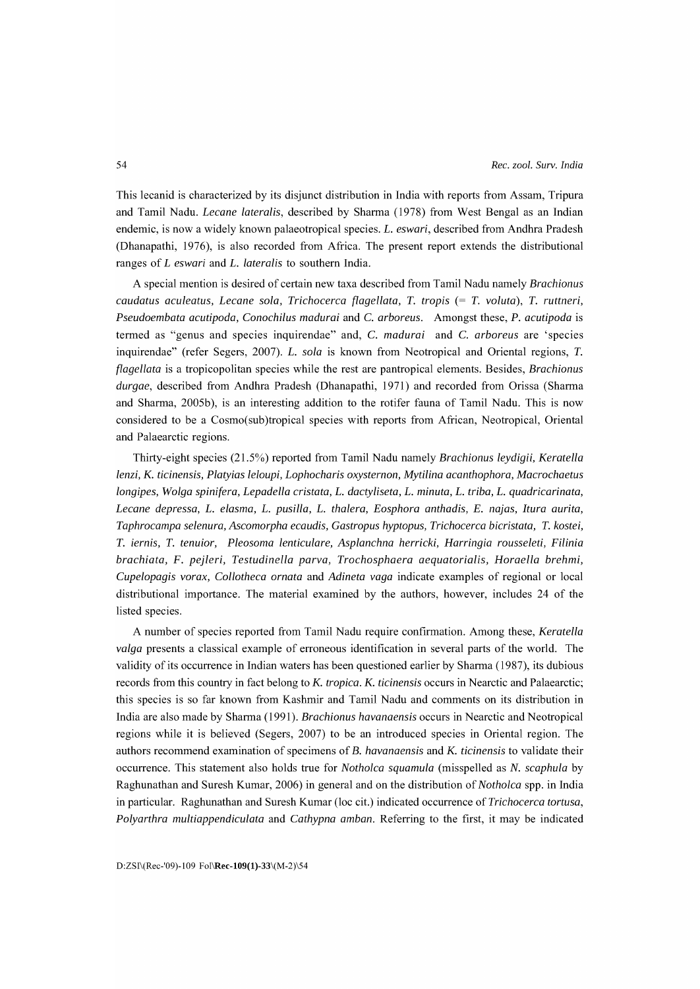This lecanid is characterized by its disjunct distribution in India with reports from Assam, Tripura and Tamil Nadu. *Lecane lateralis,* described by Sharma (1978) from West Bengal as an Indian endemic, is now a widely known palaeotropical species. *L. eswari,* described from Andhra Pradesh (Dhanapathi, 1976), is also recorded from Africa. The present report extends the distributional ranges of *L eswari* and *L. lateralis* to southern India.

A special mention is desired of certain new taxa described from Tamil Nadu namely *Brachionus caudatus aculeatus, Lecane sola, Trichocerca flagellata, T. tropis* (= *T. voluta), T. ruttneri, Pseudoembata acutipoda, Conochilus madurai* and C. *arboreus.* Amongst these, P. *acutipoda* is termed as "genus and species inquirendae" and, C. *madurai* and C. *arboreus* are 'species inquirendae" (refer Segers, 2007). *L. sola* is known from Neotropical and Oriental regions, *T. flagellata* is a tropicopolitan species while the rest are pantropical elements. Besides, *Brachionus durgae,* described from Andhra Pradesh (Dhanapathi, 1971) and recorded from Orissa (Sharma and Sharma, 2005b), is an interesting addition to the rotifer fauna of Tamil Nadu. This is now considered to be a Cosmo(sub)tropical species with reports from African, Neotropical, Oriental and Palaearctic regions.

Thirty-eight species (2l.5%) reported from Tamil Nadu namely *Brachionus leydigii, Keratella lenzi,* K. *ticinensis, Platyias leloupi, Lophocharis oxysternon, Mytilina acanthophora, Macrochaetus longipes, Wolga spinifera, Lepadella cristata, L. dactyliseta, L. minuta, L. triba, L. quadricarinata, Lecane depressa, L. elasma, L. pusilla, L. thalera, Eosphora anthadis,* E. *najas, Itura aurita, Taphrocampa selenura, Ascomorpha ecaudis, Gastropus hyptopus, Trichocerca bicristata, T. kostei, T. iernis, T. tenuior, Pleosoma lenticulare, Asplanchna herricki, Harringia rousseleti, Filinia brachiata,* F. *pejleri, Testudinella parva, Trochosphaera aequatorialis, Horaella brehmi, Cupelopagis vorax, Collotheca ornata* and *Adineta vaga* indicate examples of regional or local distributional importance. The material examined by the authors, however, includes 24 of the listed species.

A number of species reported from Tamil Nadu require confirmation. Among these, *Keratella valga* presents a classical example of erroneous identification in several parts of the world. The validity of its occurrence in Indian waters has been questioned earlier by Sharma (1987), its dubious records from this country in fact belong to K. *tropica.* K. *ticinensis* occurs in Nearctic and Palaearctic; this species is so far known from Kashmir and Tamil Nadu and comments on its distribution in India are also made by Sharma (1991). *Brachionus havanaensis* occurs in Nearctic and Neotropical regions while it is believed (Segers, 2007) to be an introduced species in Oriental region. The authors recommend examination of specimens of B. *havanaensis* and K. *ticinensis* to validate their occurrence. This statement also holds true for *Notholca squamula* (misspelled as N. *scaphula* by Raghunathan and Suresh Kumar, 2006) in general and on the distribution of *Notholca* spp. in India in particular. Raghunathan and Suresh Kumar (loc cit.) indicated occurrence of *Trichocerca tortusa, Polyarthra multiappendiculata* and *Cathypna amban.* Referring to the first, it may be indicated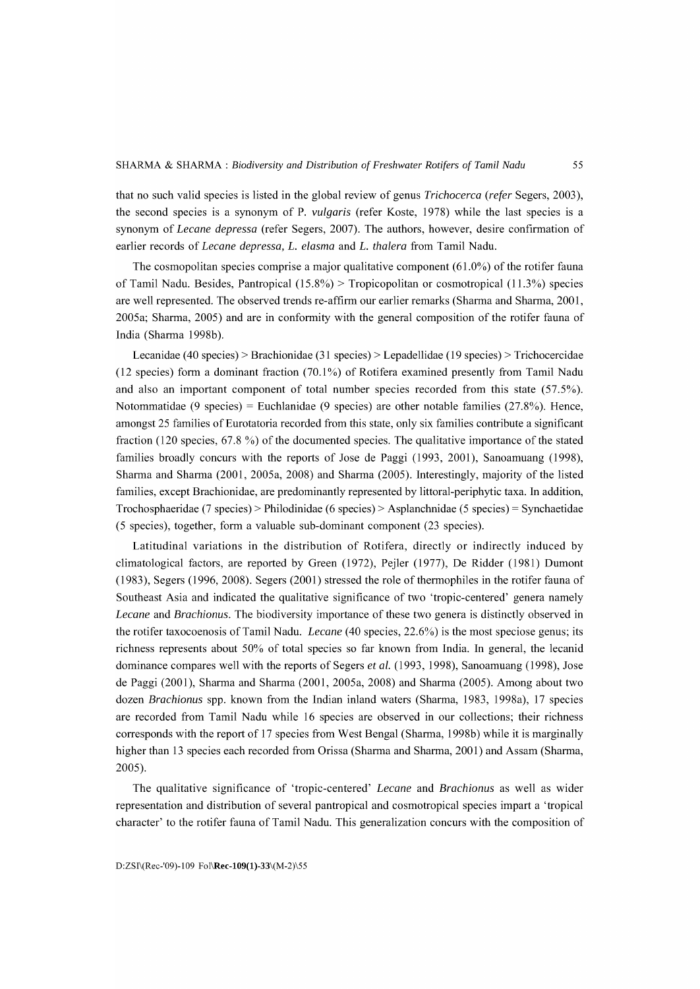that no such valid species is listed in the global review of genus *Trichocerca (refer* Segers, 2003), the second species is a synonym of P. *vulgaris* (refer Koste, 1978) while the last species is a synonym of *Lecane depressa* (refer Segers, 2007). The authors, however, desire confirmation of earlier records of *Lecane depressa, L. elasma* and *L. thalera* from Tamil Nadu.

The cosmopolitan species comprise a major qualitative component  $(61.0\%)$  of the rotifer fauna of Tamil Nadu. Besides, Pantropical  $(15.8\%)$  > Tropicopolitan or cosmotropical  $(11.3\%)$  species are well represented. The observed trends re-affirm our earlier remarks (Sharma and Sharma, 2001, 2005a; Sharma, 2005) and are in conformity with the general composition of the rotifer fauna of India (Sharma 1998b).

Lecanidae ( 40 species) > Brachionidae (31 species) > Lepadellidae ( 19 species) > Trichocercidae (12 species) form a dominant fraction  $(70.1\%)$  of Rotifera examined presently from Tamil Nadu and also an important component of total number species recorded from this state (57.5%). Notommatidae (9 species) = Euchlanidae (9 species) are other notable families  $(27.8\%)$ . Hence, amongst 25 families of Eurotatoria recorded from this state, only six families contribute a significant fraction (120 species, 67.8 %) of the documented species. The qualitative importance of the stated families broadly concurs with the reports of Jose de Paggi (1993, 2001), Sanoamuang (1998), Sharma and Sharma (2001, 2005a, 2008) and Sharma (2005). Interestingly, majority of the listed families, except Brachionidae, are predominantly represented by littoral-periphytic taxa. **In** addition, Trochosphaeridae (7 species) > Philodinidae (6 species) > Asplanchnidae (5 species) = Synchaetidae (5 species), together, form a valuable sub-dominant component (23 species).

Latitudinal variations in the distribution of Rotifera, directly or indirectly induced by climatological factors, are reported by Green (1972), Pejler (1977), De Ridder (1981) Dumont  $(1983)$ , Segers  $(1996, 2008)$ . Segers  $(2001)$  stressed the role of thermophiles in the rotifer fauna of Southeast Asia and indicated the qualitative significance of two 'tropic-centered' genera namely *Lecane* and *Brachionus.* The biodiversity importance of these two genera is distinctly observed in the rotifer taxocoenosis of Tamil Nadu. *Lecane* (40 species, 22.6%) is the most speciose genus; its richness represents about 50% of total species so far known from India. **In** general, the lecanid dominance compares well with the reports of Segers *et al.* (1993, 1998), Sanoamuang (1998), Jose de Paggi (2001), Sharma and Sharma (2001, 2005a, 2008) and Sharma (2005). Among about two dozen *Brachionus* spp. known from the Indian inland waters (Sharma, 1983, 1998a), 17 species are recorded from Tamil Nadu while 16 species are observed in our collections; their richness corresponds with the report of 17 species from West Bengal (Sharma, 1998b) while it is marginally higher than 13 species each recorded from Orissa (Sharma and Sharma, 2001) and Assam (Sharma, 2005).

The qualitative significance of 'tropic-centered' *Lecane* and *Brachionus* as well as wider representation and distribution of several pantropical and cosmotropical species impart a 'tropical character' to the rotifer fauna of Tamil Nadu. This generalization concurs with the composition of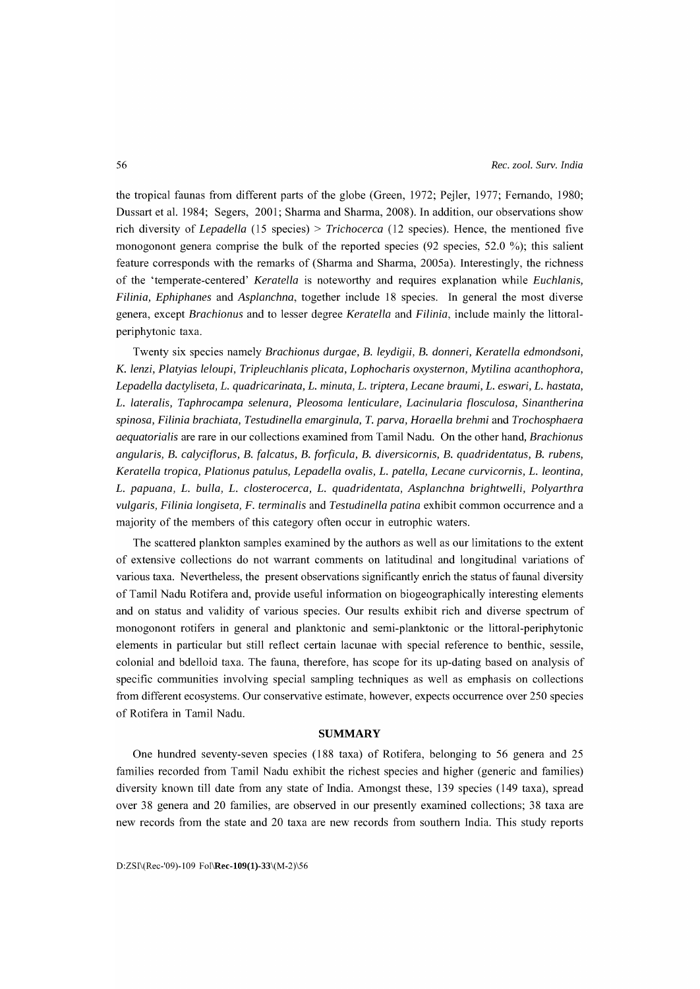the tropical faunas from different parts of the globe (Green, 1972; Pejler, 1977; Fernando, 1980; Dussart et al. 1984; Segers, 2001; Sharma and Sharma, 2008). **In** addition, our observations show rich diversity of *Lepadella* (15 species) > *Trichocerca* (12 species). Hence, the mentioned five monogonont genera comprise the bulk of the reported species (92 species, 52.0 %); this salient feature corresponds with the remarks of (Sharma and Sharma, 2005a). Interestingly, the richness of the 'temperate-centered' *Keratella* is noteworthy and requires explanation while *Euchlanis, Filinia, Ephiphanes* and *Asplanchna,* together include 18 species. **In** general the most diverse genera, except *Brachionus* and to lesser degree *Keratella* and *Filinia,* include mainly the littoralperiphytonic taxa.

Twenty six species namely *Brachionus durgae,* B. *leydigii,* B. *donneri, Keratella edmondsoni,*  K. *lenzi, Platyias leloupi, Tripleuchlanis plicata, Lophocharis oxysternon, Mytilina acanthophora, Lepadella dactyliseta, L. quadricarinata, L. minuta, L. triptera, Lecane braumi, L. eswari, L. hastata, L. lateralis, Taphrocampa selenura, Pleosoma lenticulare, Lacinularia flosculosa, Sinantherina spinosa, Filinia brachiata, Testudinella emarginula, T. parva, Roraella brehmi* and *Trochosphaera aequatorialis* are rare in our collections examined from Tamil Nadu. On the other hand, *Brachionus angularis,* B. *calyciflorus,* B. *(alcatus,* B. *(or(icula,* B. *diversicornis,* B. *quadridentatus,* B. *rubens, Keratella tropica, Plationus patulus, Lepadella ova lis, L. patella, Lecane curvicornis, L. leontina, L. papuana, L. bulla,* L. *closterocerca,* L. *quadridentata, Asplanchna brightwelli, Polyarthra vulgaris, Filinia longiseta,* F. *terminalis* and *Testudinella patina* exhibit common occurrence and a majority of the members of this category often occur in eutrophic waters.

The scattered plankton samples examined by the authors as well as our limitations to the extent of extensive collections do not warrant comments on latitudinal and longitudinal variations of various taxa. Nevertheless, the present observations significantly enrich the status of faunal diversity of Tamil Nadu Rotifera and, provide useful information on biogeographically interesting elements and on status and validity of various species. Our results exhibit rich and diverse spectrum of monogonont rotifers in general and planktonic and semi-planktonic or the littoral-periphytonic elements in particular but still reflect certain lacunae with special reference to benthic, sessile, colonial and bdelloid taxa. The fauna, therefore, has scope for its up-dating based on analysis of specific communities involving special sampling techniques as well as emphasis on collections from different ecosystems. Our conservative estimate, however, expects occurrence over 250 species of Rotifera in Tamil Nadu.

# **SUMMARY**

One hundred seventy-seven species (188 taxa) of Rotifera, belonging to 56 genera and 25 families recorded from Tamil Nadu exhibit the richest species and higher (generic and families) diversity known till date from any state of India. Amongst these, 139 species (149 taxa), spread over 38 genera and 20 families, are observed in our presently examined collections; 38 taxa are new records from the state and 20 taxa are new records from southern India. This study reports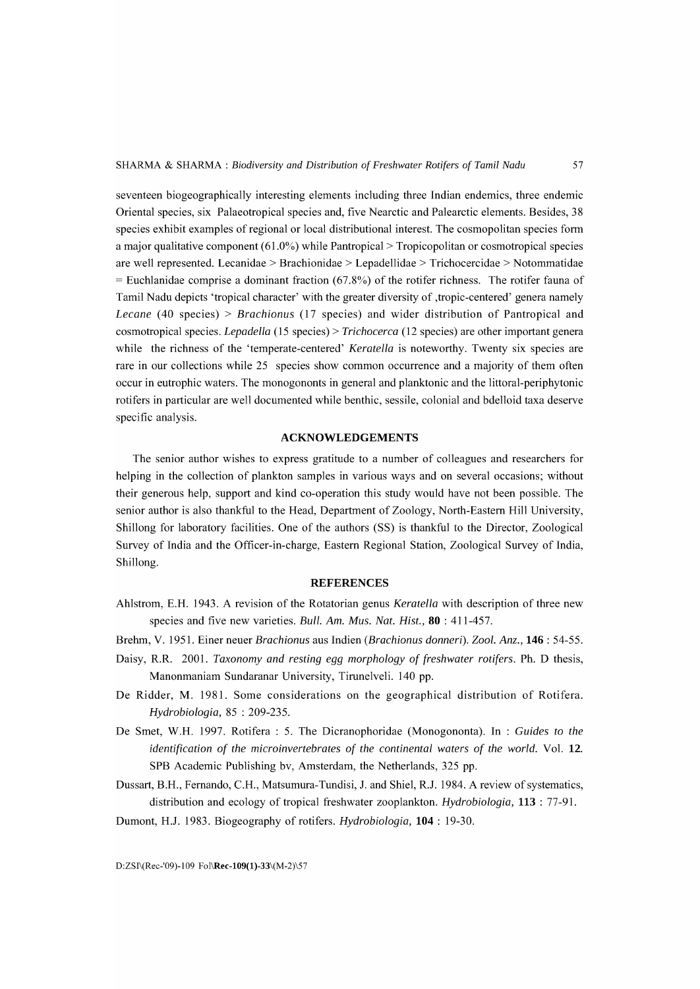seventeen biogeographically interesting elements including three Indian endemics, three endemic Oriental species, six Palaeotropical species and, five Nearctic and Palearctic elements. Besides, 38 species exhibit examples of regional or local distributional interest. The cosmopolitan species form a major qualitative component (6l.0%) while Pantropical > Tropicopolitan or cosmotropical species are well represented. Lecanidae > Brachionidae > Lepadellidae > Trichocercidae > N otommatidae  $=$  Euchlanidae comprise a dominant fraction (67.8%) of the rotifer richness. The rotifer fauna of Tamil Nadu depicts 'tropical character' with the greater diversity of ,tropic-centered' genera namely *Lecane* (40 species) > *Brachionus* (17 species) and wider distribution of Pantropical and cosmotropical species. *Lepadella* (15 species) > *Trichocerca* (12 species) are other important genera while the richness of the 'temperate-centered' *Keratella* is noteworthy. Twenty six species are rare in our collections while 25 species show common occurrence and a majority of them often occur in eutrophic waters. The monogononts in general and planktonic and the littoral-periphytonic rotifers in particular are well documented while benthic, sessile, colonial and bdelloid taxa deserve specific analysis.

# **ACKNOWLEDGEMENTS**

The senior author wishes to express gratitude to a number of colleagues and researchers for helping in the collection of plankton samples in various ways and on several occasions; without their generous help, support and kind co-operation this study would have not been possible. The senior author is also thankful to the Head, Department of Zoology, North-Eastern Hill University, Shillong for laboratory facilities. One of the authors (SS) is thankful to the Director, Zoological Survey of India and the Officer-in-charge, Eastern Regional Station, Zoological Survey of India, Shillong.

## **REFERENCES**

- Ahlstrom, E.H. 1943. A revision of the Rotatorian genus *Keratella* with description of three new species and five new varieties. *Bull. Am. Mus. Nat. Hist.,* **80** : 411-457.
- Brehm, V. 1951. Einer neuer *Brachionus* aus Indien *(Brach ion* us *donneri). Zoo1. Anz.,* **146** : 54-55.
- Daisy, R.R. 200l. *Taxonomy and resting egg morphology* of *freshwater rotifers.* Ph. D thesis, Manonmaniam Sundaranar University, Tirunelveli. 140 pp.
- De Ridder, M. 1981. Some considerations on the geographical distribution of Rotifera. *Hydrobiologia,* 85 : 209-235.
- De Smet, W.H. 1997. Rotifera : 5. The Dicranophoridae (Monogononta). In : *Guides to the identification* of *the microinvertebrates* of *the continental waters* of *the world.* Vol. 12. SPB Academic Publishing bv, Amsterdam, the Netherlands, 325 pp.
- Dussart, B.H., Fernando, C.H., Matsumura-Tundisi, J. and Shiel, R.J. 1984. A review of systematics, distribution and ecology of tropical freshwater zooplankton. *Hydrobiologia,* **113** : 77-9l.

Dumont, H.J. 1983. Biogeography of rotifers. *Hydrobiologia,* **104** : 19-30.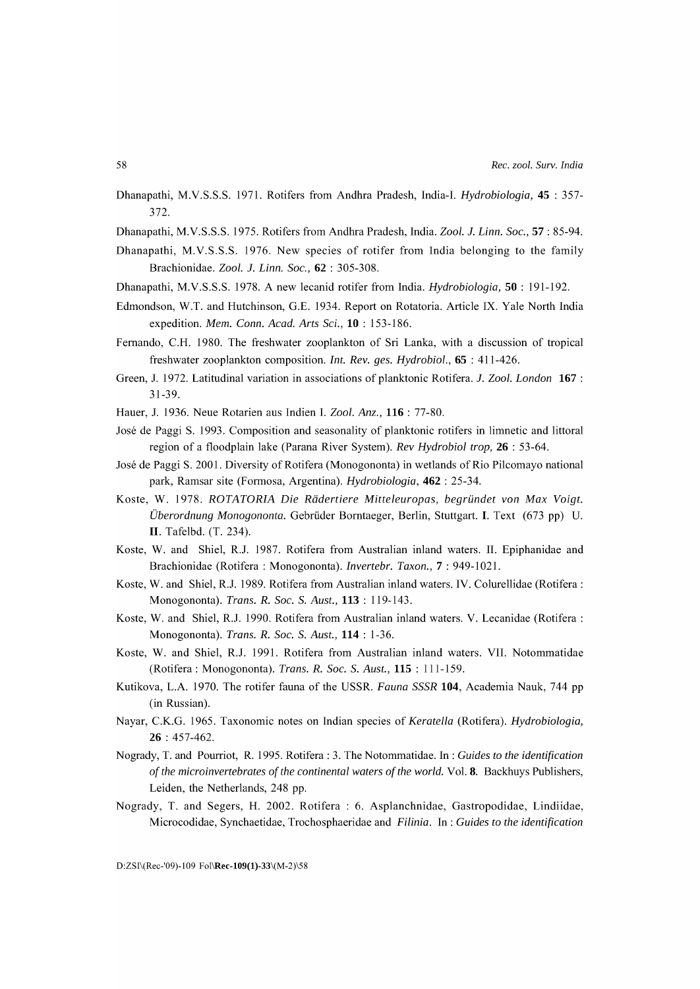- Dhanapathi, M.V.S.S.S. 1971. Rotifers from Andhra Pradesh, India-I. *Hydrobiologia,* 45 : 357- 372.
- Dhanapathi, M.V.S.S.S. 1975. Rotifers from Andhra Pradesh, India. *Zoo1.* 1. *Linn. Soc.,* 57 : 85-94.
- Dhanapathi, M.V.S.S.S. 1976. New species of rotifer from India belonging to the family Brachionidae. *Zoo1.* 1. *Linn. Soc.,* 62 : 305-308.
- Dhanapathi, M.V.S.S.S. 1978. A new lecanid rotifer from India. *Hydrobiologia,* 50 : 191-192.
- Edmondson, W.T. and Hutchinson, G.E. 1934. Report on Rotatoria. Article IX. Yale North India expedition. *Mem. Conn. Acad. Arts Sci.,* 10 : 153-186.
- Fernando, C.H. 1980. The freshwater zooplankton of Sri Lanka, with a discussion of tropical freshwater zooplankton composition. *Int. Rev. ges. Hydrobiol.,* 65 : 411-426.
- Green, J. 1972. Latitudinal variation in associations of planktonic Rotifera. 1. *Zoo1. London* 167: 31-39.
- Hauer, J. 1936. Neue Rotarien aus Indien I. *Zoo1. Anz.,* 116 : 77-80.
- Jose de Paggi S. 1993. Composition and seasonality of planktonic rotifers in limnetic and littoral region of a floodplain lake (Parana River System). *Rev Hydrobiol trop,* 26 : 53-64.
- Jose de Paggi S. 2001. Diversity of Rotifera (Monogononta) in wetlands of Rio Pilcomayo national park, Ramsar site (Formosa, Argentina). *Hydrobiologia,* 462 : 25-34.
- Koste, W. 1978. *ROTATORIA Die Radertiere Mitteleuropas, begriindet von Max Voigt. Uberordnung Monogononta.* Gebriider Borntaeger, Berlin, Stuttgart. I. Text (673 pp) U. II. Tafelbd. (T. 234).
- Koste, W. and Shiel, R.J. 1987. Rotifera from Australian inland waters. II. Epiphanidae and Brachionidae (Rotifera : Monogononta). *Invertebr. Taxon.,* 7 : 949-1021.
- Koste, W. and Shiel, R.J. 1989. Rotifera from Australian inland waters. IV. Colurellidae (Rotifera : Monogononta). *Trans.* R. *Soc.* S. *Aust.,* 113 : 119-143.
- Koste, W. and Shiel, R.J. 1990. Rotifera from Australian inland waters. V. Lecanidae (Rotifera : Monogononta). *Trans.* R. *Soc.* S. *Aust.,* 114 : 1-36.
- Koste, W. and Shiel, R.J. 1991. Rotifera from Australian inland waters. VII. Notommatidae (Rotifera: Monogononta). *Trans.* R. *Soc.* S. *Aust.,* 115 : 111-159.
- Kutikova, L.A. 1970. The rotifer fauna of the USSR. *Fauna SSSR* 104, Academia Nauk, 744 pp (in Russian).
- Nayar, C.K.G. 1965. Taxonomic notes on Indian species of *Keratella* (Rotifera). *Hydrobiologia,*  26 : 457-462.
- Nogrady, T. and Pourriot, R. 1995. Rotifera : 3. The Notommatidae. In : *Guides to the identification*  of *the microinvertebrates* of *the continental waters* of *the world.* Vol. 8. Backhuys Publishers, Leiden, the Netherlands, 248 pp.
- Nogrady, T. and Segers, H. 2002. Rotifera : 6. Asplanchnidae, Gastropodidae, Lindiidae, Microcodidae, Synchaetidae, Trochosphaeridae and *Filinia.* In: *Guides to the identification*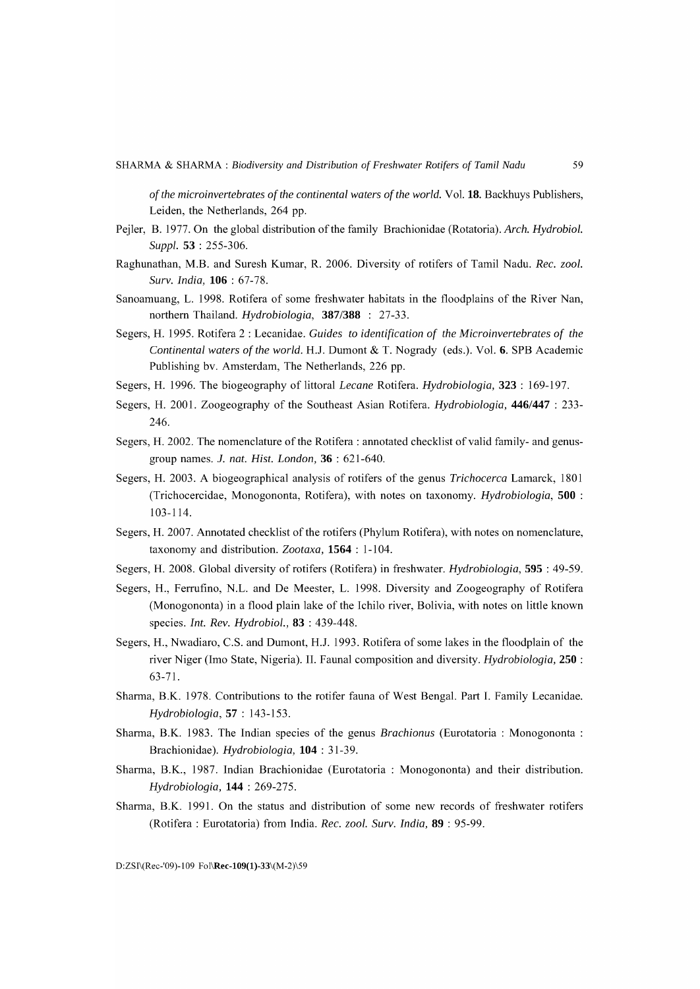of *the microinvertebrates* of *the continental waters* of *the world.* Vol. 18. Backhuys Publishers, Leiden, the Netherlands, 264 pp.

- Pejler, B. 1977. On the global distribution of the family Brachionidae (Rotatoria). *Arch. Hydrobiol. Suppl.* 53 : 255-306.
- Raghunathan, M.B. and Suresh Kumar, R. 2006. Diversity of rotifers of Tamil Nadu. *Rec. zool. Surv. India,* 106 : 67-78.
- Sanoamuang, L. 1998. Rotifera of some freshwater habitats in the floodplains of the River Nan, northern Thailand. *Hydrobiologia,* 387/388 : 27-33.
- Segers, H. 1995. Rotifera 2 : Lecanidae. *Guides to identification* of *the Microinvertebrates* of *the Continental waters* of *the world.* H.J. Dumont & T. Nogrady (eds.). Vol. 6. SPB Academic Publishing bv. Amsterdam, The Netherlands, 226 pp.
- Segers, H. 1996. The biogeography of littoral *Lecane* Rotifera. *Hydrobiologia,* 323 : 169-197.
- Segers, H. 200l. Zoogeography of the Southeast Asian Rotifera. *Hydrobiologia,* 446/447 : 233- 246.
- Segers, H. 2002. The nomenclature of the Rotifera : annotated checklist of valid family- and genusgroup names. 1. *nat. Hist. London,* 36 : 621-640.
- Segers, H. 2003. A biogeographical analysis of rotifers of the genus *Trichocerca* Lamarck, 1801 (Trichocercidae, Monogononta, Rotifera), with notes on taxonomy. *Hydrobiologia,* 500 : 103-114.
- Segers, H. 2007. Annotated checklist of the rotifers (Phylum Rotifera), with notes on nomenclature, taxonomy and distribution. *Zootaxa,* 1564 : 1-104.
- Segers, H. 2008. Global diversity of rotifers (Rotifera) in freshwater. *Hydrobiologia,* 595 : 49-59.
- Segers, H., Ferrufino, N.L. and De Meester, L. 1998. Diversity and Zoogeography of Rotifera (Monogononta) in a flood plain lake of the Ichilo river, Bolivia, with notes on little known species. *Int. Rev. Hydrobiol.,* 83 : 439-448.
- Segers, H., Nwadiaro, C.S. and Dumont, H.J. 1993. Rotifera of some lakes in the floodplain of the river Niger (lmo State, Nigeria). II. Faunal composition and diversity. *Hydrobiologia,* 250 : 63-7l.
- Sharma, B.K. 1978. Contributions to the rotifer fauna of West Bengal. Part 1. Family Lecanidae. *Hydrobiologia,* 57 : 143-153.
- Sharma, B.K. 1983. The Indian species of the genus *Brachionus* (Eurotatoria : Monogononta : Brachionidae). *Hydrobiologia,* 104 : 31-39.
- Sharma, B.K., 1987. Indian Brachionidae (Eurotatoria : Monogononta) and their distribution. *Hydrobiologia,* 144 : 269-275.
- Sharma, B.K. 1991. On the status and distribution of some new records of freshwater rotifers (Rotifera : Eurotatoria) from India. *Rec. zool. Surv. India,* 89 : 95-99.